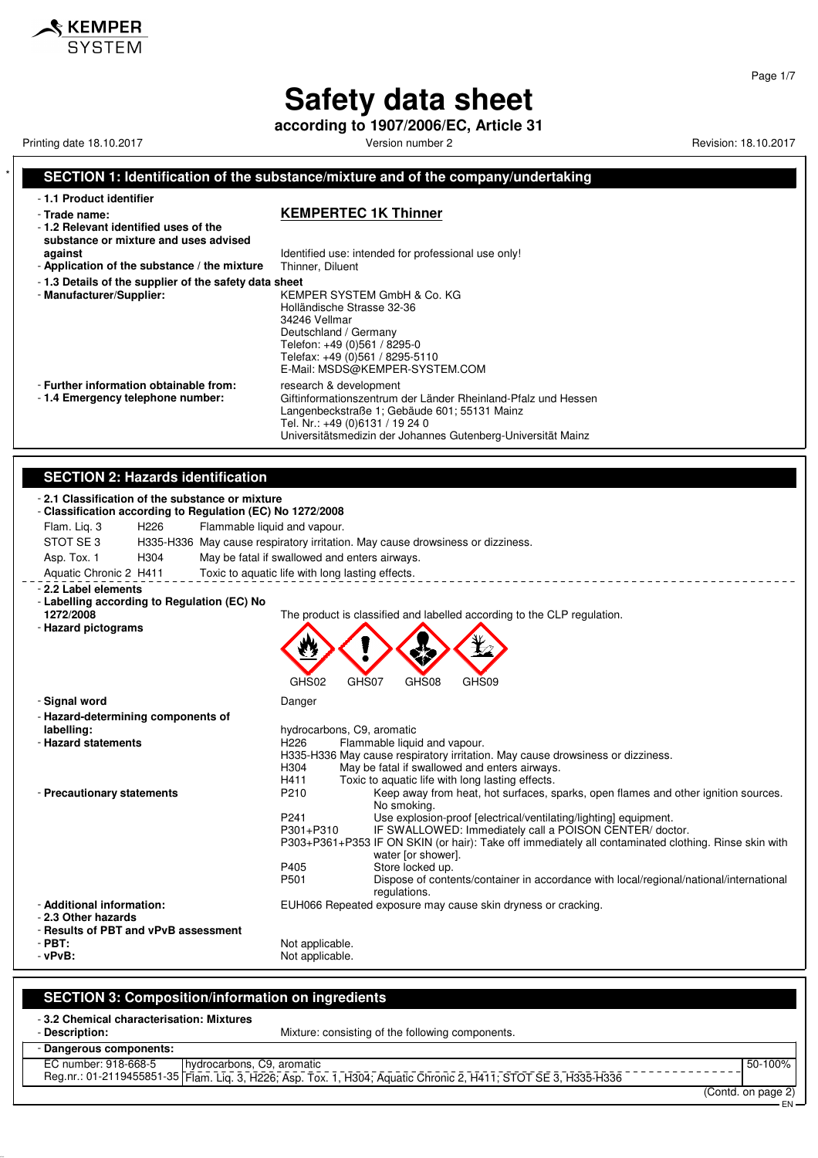**according to 1907/2006/EC, Article 31**

Printing date 18.10.2017 The State of the State of Contractor Version number 2 Revision: 18.10.2017 Revision: 18.10.2017

 $\boldsymbol{\mathsf{\$} }$  KEMPER

Page 1/7

EN

#### **SECTION 1: Identification of the substance/mixture and of the company/undertaking** - **1.1 Product identifier** - **Trade name: KEMPERTEC 1K Thinner** - **1.2 Relevant identified uses of the substance or mixture and uses advised against against Identified use: intended for professional use only!**<br>**Application of the substance / the mixture** Thinner, Diluent - Application of the substance / the mixture - **1.3 Details of the supplier of the safety data sheet** - **Manufacturer/Supplier:** KEMPER SYSTEM GmbH & Co. KG Holländische Strasse 32-36 34246 Vellmar Deutschland / Germany Telefon: +49 (0)561 / 8295-0 Telefax: +49 (0)561 / 8295-5110 E-Mail: MSDS@KEMPER-SYSTEM.COM - **Further information obtainable from:** research & development<br>- 1.4 **Emergency telephone number:** Giftinformationszentrum Giftinformationszentrum der Länder Rheinland-Pfalz und Hessen Langenbeckstraße 1; Gebäude 601; 55131 Mainz Tel. Nr.: +49 (0)6131 / 19 24 0 Universitätsmedizin der Johannes Gutenberg-Universität Mainz **SECTION 2: Hazards identification** - **2.1 Classification of the substance or mixture** - **Classification according to Regulation (EC) No 1272/2008** Flam. Liq. 3 H226 Flammable liquid and vapour. STOT SE 3 H335-H336 May cause respiratory irritation. May cause drowsiness or dizziness.<br>Asp. Tox. 1 H304 May be fatal if swallowed and enters airwavs. Asp. Tox. 1 H304 May be fatal if swallowed and enters airways. Aquatic Chronic 2 H411 Toxic to aquatic life with long lasting effects. \_\_\_\_\_\_\_\_\_\_\_\_\_\_\_\_\_\_\_\_\_\_\_\_\_\_\_\_\_\_\_\_ - **2.2 Label elements** - **Labelling according to Regulation (EC) No** The product is classified and labelled according to the CLP regulation. - **Hazard pictograms** GHS02 GHS07 GHS08 GHS09 - **Signal word** Danger - **Hazard-determining components of labelling:** hydrocarbons, C9, aromatic<br>**- Hazard statements hydrocarbons, C9, aromatic**<br>H226 **Flammable liquid** Flammable liquid and vapour. H335-H336 May cause respiratory irritation. May cause drowsiness or dizziness. H304 May be fatal if swallowed and enters airways. H411 Toxic to aquatic life with long lasting effects.<br>P210 Keep away from heat, hot surfaces, s - **Precautionary statements** P210 Keep away from heat, hot surfaces, sparks, open flames and other ignition sources. No smoking. P241 Use explosion-proof [electrical/ventilating/lighting] equipment.<br>P301+P310 IF SWALLOWED: Immediately call a POISON CENTER/doc IF SWALLOWED: Immediately call a POISON CENTER/ doctor. P303+P361+P353 IF ON SKIN (or hair): Take off immediately all contaminated clothing. Rinse skin with water [or shower]. P405 Store locked up.<br>P501 Dispose of conte Dispose of contents/container in accordance with local/regional/national/international regulations. - **Additional information:** EUH066 Repeated exposure may cause skin dryness or cracking. - **2.3 Other hazards** - **Results of PBT and vPvB assessment** - **PBT:**<br>- vPvB: Not applicable.<br>Not applicable. Not applicable.

#### **SECTION 3: Composition/information on ingredients**

- **3.2 Chemical characterisation: Mixtures**

Mixture: consisting of the following components.

- **Dangerous components:**

| ______________________             |                                                                                  |                    |
|------------------------------------|----------------------------------------------------------------------------------|--------------------|
| EC number: 918-668-5               | I hydrocarbons, C9, aromatic                                                     | 50-100%            |
| Reg.nr.: 01-2119455851-35 Flam. Li | . Lig. 3, H226; Asp. Tox. 1, H304; Aguatic Chronic 2, H411; STOT SE 3, H335-H336 |                    |
|                                    |                                                                                  | (Contd. on page 2) |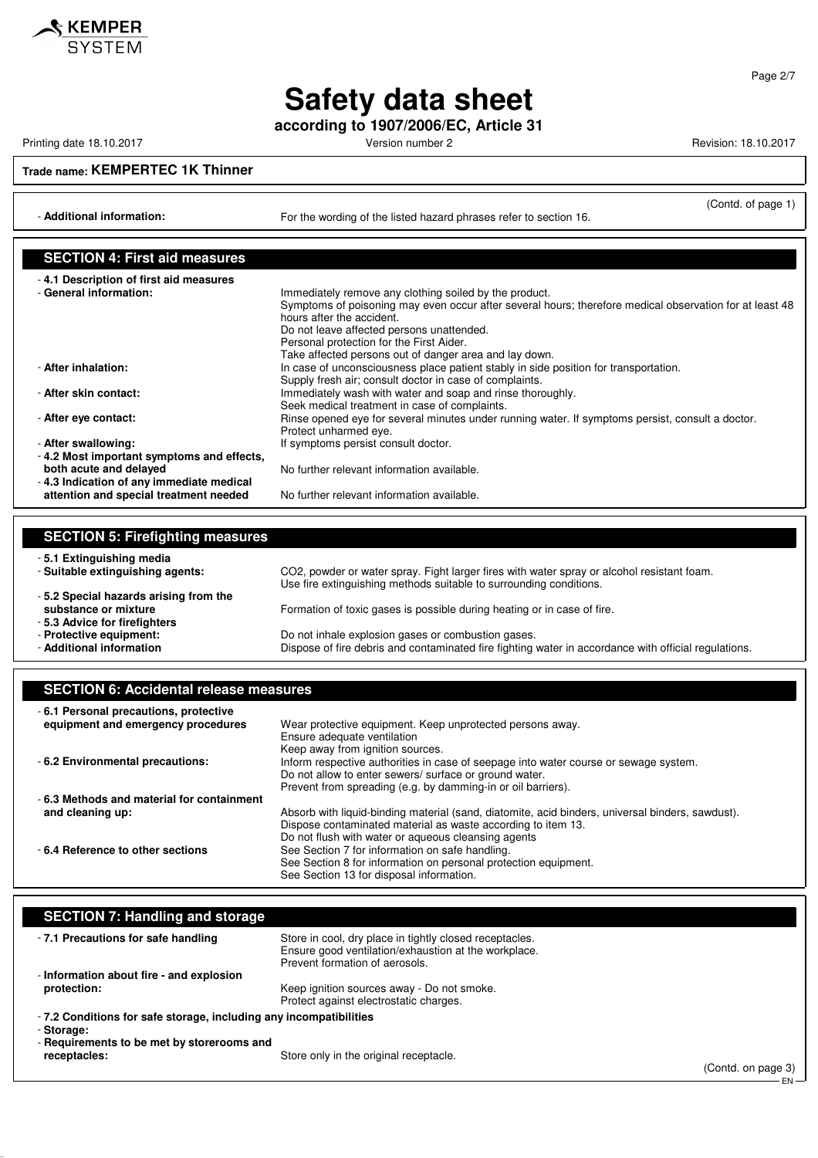

**according to 1907/2006/EC, Article 31**

Printing date 18.10.2017 **Printing date 18.10.2017** Version number 2 Revision: 18.10.2017

<u>SKEMPER</u> **SYSTEM** 

**Trade name: KEMPERTEC 1K Thinner**

- **Additional information:** For the wording of the listed hazard phrases refer to section 16.

(Contd. of page 1)

| <b>SECTION 4: First aid measures</b>      |                                                                                                                                      |
|-------------------------------------------|--------------------------------------------------------------------------------------------------------------------------------------|
| -4.1 Description of first aid measures    |                                                                                                                                      |
| - General information:                    | Immediately remove any clothing soiled by the product.                                                                               |
|                                           | Symptoms of poisoning may even occur after several hours; therefore medical observation for at least 48<br>hours after the accident. |
|                                           | Do not leave affected persons unattended.                                                                                            |
|                                           | Personal protection for the First Aider.                                                                                             |
|                                           | Take affected persons out of danger area and lay down.                                                                               |
| - After inhalation:                       | In case of unconsciousness place patient stably in side position for transportation.                                                 |
|                                           | Supply fresh air; consult doctor in case of complaints.                                                                              |
| - After skin contact:                     | Immediately wash with water and soap and rinse thoroughly.                                                                           |
|                                           | Seek medical treatment in case of complaints.                                                                                        |
| - After eve contact:                      | Rinse opened eve for several minutes under running water. If symptoms persist, consult a doctor.                                     |
|                                           | Protect unharmed eye.                                                                                                                |
| - After swallowing:                       | If symptoms persist consult doctor.                                                                                                  |
| -4.2 Most important symptoms and effects, |                                                                                                                                      |
| both acute and delayed                    | No further relevant information available.                                                                                           |
| -4.3 Indication of any immediate medical  |                                                                                                                                      |
| attention and special treatment needed    | No further relevant information available.                                                                                           |

| <b>SECTION 5: Firefighting measures</b> |                                                                                                                                                                  |
|-----------------------------------------|------------------------------------------------------------------------------------------------------------------------------------------------------------------|
| - 5.1 Extinguishing media               |                                                                                                                                                                  |
| - Suitable extinguishing agents:        | CO2, powder or water spray. Fight larger fires with water spray or alcohol resistant foam.<br>Use fire extinguishing methods suitable to surrounding conditions. |
| -5.2 Special hazards arising from the   |                                                                                                                                                                  |
| substance or mixture                    | Formation of toxic gases is possible during heating or in case of fire.                                                                                          |
| -5.3 Advice for firefighters            |                                                                                                                                                                  |
| - Protective equipment:                 | Do not inhale explosion gases or combustion gases.                                                                                                               |
| - Additional information                | Dispose of fire debris and contaminated fire fighting water in accordance with official regulations.                                                             |

### **SECTION 6: Accidental release measures**

| -6.1 Personal precautions, protective     |                                                                                                  |
|-------------------------------------------|--------------------------------------------------------------------------------------------------|
| equipment and emergency procedures        | Wear protective equipment. Keep unprotected persons away.                                        |
|                                           | Ensure adequate ventilation                                                                      |
|                                           | Keep away from ignition sources.                                                                 |
| - 6.2 Environmental precautions:          | Inform respective authorities in case of seepage into water course or sewage system.             |
|                                           | Do not allow to enter sewers/ surface or ground water.                                           |
|                                           | Prevent from spreading (e.g. by damming-in or oil barriers).                                     |
| -6.3 Methods and material for containment |                                                                                                  |
| and cleaning up:                          | Absorb with liquid-binding material (sand, diatomite, acid binders, universal binders, sawdust). |
|                                           | Dispose contaminated material as waste according to item 13.                                     |
|                                           | Do not flush with water or aqueous cleansing agents                                              |
| -6.4 Reference to other sections          | See Section 7 for information on safe handling.                                                  |
|                                           | See Section 8 for information on personal protection equipment.                                  |
|                                           | See Section 13 for disposal information.                                                         |

| <b>SECTION 7: Handling and storage</b>                             |                                                                                                                                                   |
|--------------------------------------------------------------------|---------------------------------------------------------------------------------------------------------------------------------------------------|
| -7.1 Precautions for safe handling                                 | Store in cool, dry place in tightly closed receptacles.<br>Ensure good ventilation/exhaustion at the workplace.<br>Prevent formation of aerosols. |
| - Information about fire - and explosion                           |                                                                                                                                                   |
| protection:                                                        | Keep ignition sources away - Do not smoke.<br>Protect against electrostatic charges.                                                              |
| - 7.2 Conditions for safe storage, including any incompatibilities |                                                                                                                                                   |
| - Storage:                                                         |                                                                                                                                                   |
| - Requirements to be met by storerooms and                         |                                                                                                                                                   |
| receptacles:                                                       | Store only in the original receptacle.                                                                                                            |

Page 2/7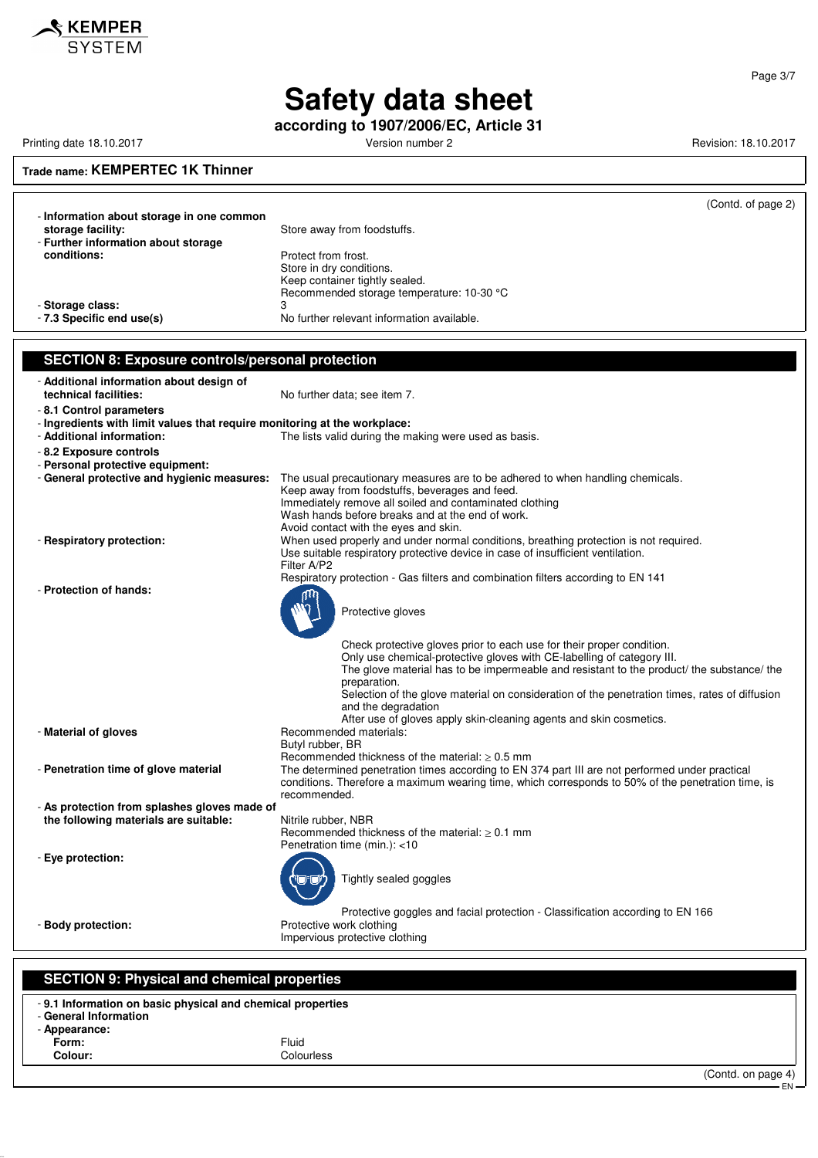

**according to 1907/2006/EC, Article 31**

Printing date 18.10.2017 **Printing date 18.10.2017** Version number 2 Revision: 18.10.2017

Page 3/7

## **Trade name: KEMPERTEC 1K Thinner**

|                                                                                                        | (Contd. of page 2)                                                                                                                                                                                    |
|--------------------------------------------------------------------------------------------------------|-------------------------------------------------------------------------------------------------------------------------------------------------------------------------------------------------------|
| - Information about storage in one common                                                              |                                                                                                                                                                                                       |
| storage facility:                                                                                      | Store away from foodstuffs.                                                                                                                                                                           |
| - Further information about storage                                                                    |                                                                                                                                                                                                       |
| conditions:                                                                                            | Protect from frost.<br>Store in dry conditions.                                                                                                                                                       |
|                                                                                                        | Keep container tightly sealed.                                                                                                                                                                        |
|                                                                                                        | Recommended storage temperature: 10-30 °C                                                                                                                                                             |
| - Storage class:                                                                                       | 3                                                                                                                                                                                                     |
| - 7.3 Specific end use(s)                                                                              | No further relevant information available.                                                                                                                                                            |
|                                                                                                        |                                                                                                                                                                                                       |
| <b>SECTION 8: Exposure controls/personal protection</b>                                                |                                                                                                                                                                                                       |
| - Additional information about design of                                                               |                                                                                                                                                                                                       |
| technical facilities:                                                                                  | No further data; see item 7.                                                                                                                                                                          |
| - 8.1 Control parameters                                                                               |                                                                                                                                                                                                       |
| - Ingredients with limit values that require monitoring at the workplace:<br>- Additional information: | The lists valid during the making were used as basis.                                                                                                                                                 |
| - 8.2 Exposure controls                                                                                |                                                                                                                                                                                                       |
| - Personal protective equipment:                                                                       |                                                                                                                                                                                                       |
| - General protective and hygienic measures:                                                            | The usual precautionary measures are to be adhered to when handling chemicals.                                                                                                                        |
|                                                                                                        | Keep away from foodstuffs, beverages and feed.                                                                                                                                                        |
|                                                                                                        | Immediately remove all soiled and contaminated clothing<br>Wash hands before breaks and at the end of work.                                                                                           |
|                                                                                                        | Avoid contact with the eyes and skin.                                                                                                                                                                 |
| - Respiratory protection:                                                                              | When used properly and under normal conditions, breathing protection is not required.                                                                                                                 |
|                                                                                                        | Use suitable respiratory protective device in case of insufficient ventilation.                                                                                                                       |
|                                                                                                        | Filter A/P2<br>Respiratory protection - Gas filters and combination filters according to EN 141                                                                                                       |
| - Protection of hands:                                                                                 |                                                                                                                                                                                                       |
|                                                                                                        |                                                                                                                                                                                                       |
|                                                                                                        | Protective gloves                                                                                                                                                                                     |
|                                                                                                        |                                                                                                                                                                                                       |
|                                                                                                        | Check protective gloves prior to each use for their proper condition.<br>Only use chemical-protective gloves with CE-labelling of category III.                                                       |
|                                                                                                        | The glove material has to be impermeable and resistant to the product/ the substance/ the                                                                                                             |
|                                                                                                        | preparation.                                                                                                                                                                                          |
|                                                                                                        | Selection of the glove material on consideration of the penetration times, rates of diffusion                                                                                                         |
|                                                                                                        | and the degradation<br>After use of gloves apply skin-cleaning agents and skin cosmetics.                                                                                                             |
| - Material of gloves                                                                                   | Recommended materials:                                                                                                                                                                                |
|                                                                                                        | Butyl rubber, BR                                                                                                                                                                                      |
|                                                                                                        | Recommended thickness of the material: $\geq 0.5$ mm                                                                                                                                                  |
| - Penetration time of glove material                                                                   | The determined penetration times according to EN 374 part III are not performed under practical<br>conditions. Therefore a maximum wearing time, which corresponds to 50% of the penetration time, is |
|                                                                                                        | recommended.                                                                                                                                                                                          |
| - As protection from splashes gloves made of                                                           |                                                                                                                                                                                                       |
| the following materials are suitable:                                                                  | Nitrile rubber, NBR                                                                                                                                                                                   |
|                                                                                                        | Recommended thickness of the material: $\geq 0.1$ mm<br>Penetration time (min.): <10                                                                                                                  |
| - Eye protection:                                                                                      |                                                                                                                                                                                                       |
|                                                                                                        | Tightly sealed goggles                                                                                                                                                                                |
|                                                                                                        |                                                                                                                                                                                                       |
|                                                                                                        |                                                                                                                                                                                                       |
| - Body protection:                                                                                     | Protective goggles and facial protection - Classification according to EN 166<br>Protective work clothing                                                                                             |
|                                                                                                        | Impervious protective clothing                                                                                                                                                                        |
|                                                                                                        |                                                                                                                                                                                                       |
|                                                                                                        |                                                                                                                                                                                                       |
| <b>SECTION 9: Physical and chemical properties</b>                                                     |                                                                                                                                                                                                       |
| -9.1 Information on basic physical and chemical properties                                             |                                                                                                                                                                                                       |

**Colour:** Colourless

(Contd. on page 4)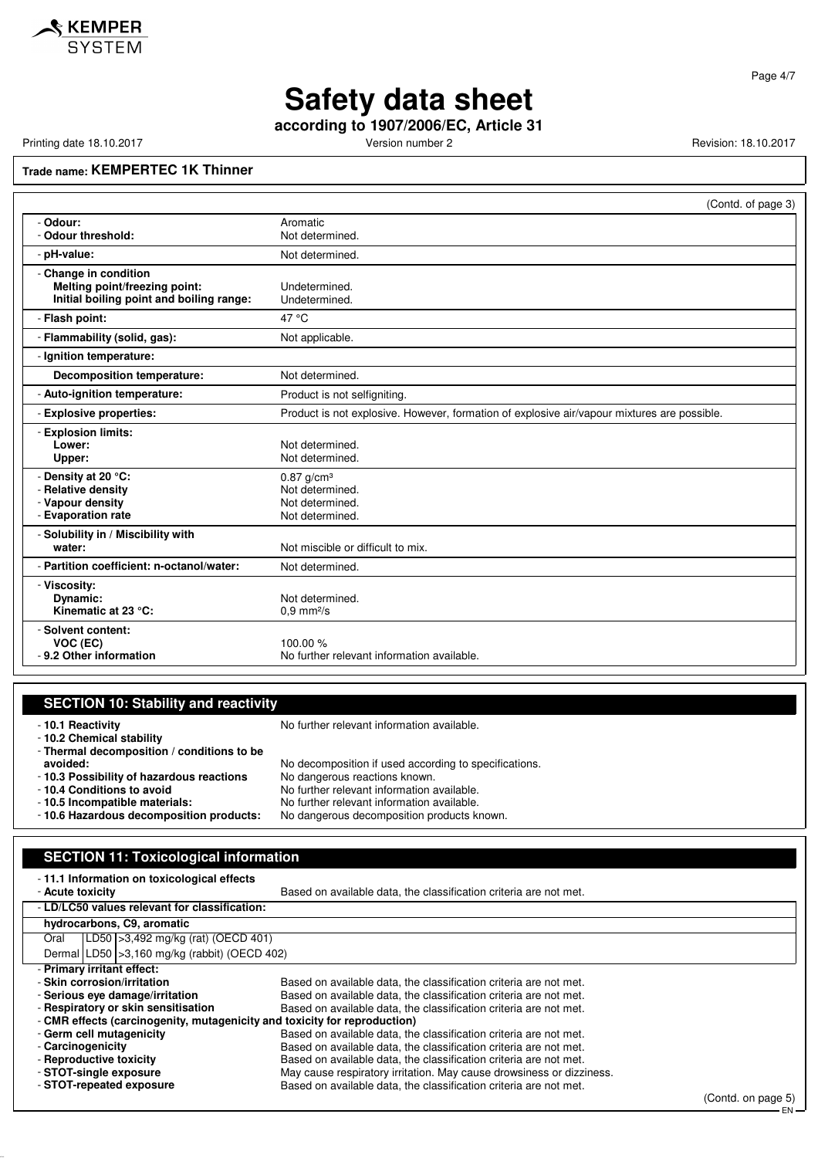**according to 1907/2006/EC, Article 31**

Printing date 18.10.2017 **Version number 2** Version number 2 Revision: 18.10.2017

### **Trade name: KEMPERTEC 1K Thinner**

|                                                                                                    | (Contd. of page 3)                                                                          |
|----------------------------------------------------------------------------------------------------|---------------------------------------------------------------------------------------------|
| - Odour:<br>- Odour threshold:                                                                     | Aromatic<br>Not determined.                                                                 |
| - pH-value:                                                                                        | Not determined.                                                                             |
| - Change in condition<br>Melting point/freezing point:<br>Initial boiling point and boiling range: | Undetermined.<br>Undetermined.                                                              |
| - Flash point:                                                                                     | 47 °C                                                                                       |
| - Flammability (solid, gas):                                                                       | Not applicable.                                                                             |
| - Ignition temperature:                                                                            |                                                                                             |
| Decomposition temperature:                                                                         | Not determined.                                                                             |
| - Auto-ignition temperature:                                                                       | Product is not selfigniting.                                                                |
| - Explosive properties:                                                                            | Product is not explosive. However, formation of explosive air/vapour mixtures are possible. |
| - Explosion limits:<br>Lower:<br>Upper:                                                            | Not determined.<br>Not determined.                                                          |
| - Density at 20 °C:<br>- Relative density<br>- Vapour density<br>- Evaporation rate                | $0.87$ g/cm <sup>3</sup><br>Not determined.<br>Not determined.<br>Not determined.           |
| - Solubility in / Miscibility with<br>water:                                                       | Not miscible or difficult to mix.                                                           |
| - Partition coefficient: n-octanol/water:                                                          | Not determined.                                                                             |
| - Viscosity:<br>Dynamic:<br>Kinematic at 23 °C:                                                    | Not determined.<br>$0.9$ mm $2/s$                                                           |
| - Solvent content:<br>VOC (EC)<br>- 9.2 Other information                                          | 100.00 %<br>No further relevant information available.                                      |

### **SECTION 10: Stability and reactivity** - **10.1 Reactivity 10.1 Reactivity 10.1 Reactivity 10.1 Reactivity 10.1** Reactivity - **10.2 Chemical stability** - **Thermal decomposition / conditions to be** No decomposition if used according to specifications.<br>No dangerous reactions known.

- **10.3 Possibility of hazardous reactions**<br>- 10.4 Conditions to avoid
- 
- 
- 
- 
- **10.4 Conditions to avoid**<br> **10.5 Incompatible materials:** No further relevant information available.
- **10.5 Incompatible materials:** No further relevant information available. - **10.6 Hazardous decomposition products:** No dangerous decomposition products known.

#### **SECTION 11: Toxicological information**

| -11.1 Information on toxicological effects                                |                                                                      |  |  |
|---------------------------------------------------------------------------|----------------------------------------------------------------------|--|--|
| - Acute toxicity                                                          | Based on available data, the classification criteria are not met.    |  |  |
| - LD/LC50 values relevant for classification:                             |                                                                      |  |  |
| hydrocarbons, C9, aromatic                                                |                                                                      |  |  |
| [LD50   > 3,492 mg/kg (rat) (OECD 401)<br>Oral                            |                                                                      |  |  |
| Dermal $ LD50  > 3,160$ mg/kg (rabbit) (OECD 402)                         |                                                                      |  |  |
| - Primary irritant effect:                                                |                                                                      |  |  |
| - Skin corrosion/irritation                                               | Based on available data, the classification criteria are not met.    |  |  |
| - Serious eve damage/irritation                                           | Based on available data, the classification criteria are not met.    |  |  |
| - Respiratory or skin sensitisation                                       | Based on available data, the classification criteria are not met.    |  |  |
| - CMR effects (carcinogenity, mutagenicity and toxicity for reproduction) |                                                                      |  |  |
| - Germ cell mutagenicity                                                  | Based on available data, the classification criteria are not met.    |  |  |
| - Carcinogenicity                                                         | Based on available data, the classification criteria are not met.    |  |  |
| - Reproductive toxicity                                                   | Based on available data, the classification criteria are not met.    |  |  |
| - STOT-single exposure                                                    | May cause respiratory irritation. May cause drowsiness or dizziness. |  |  |
| - STOT-repeated exposure                                                  | Based on available data, the classification criteria are not met.    |  |  |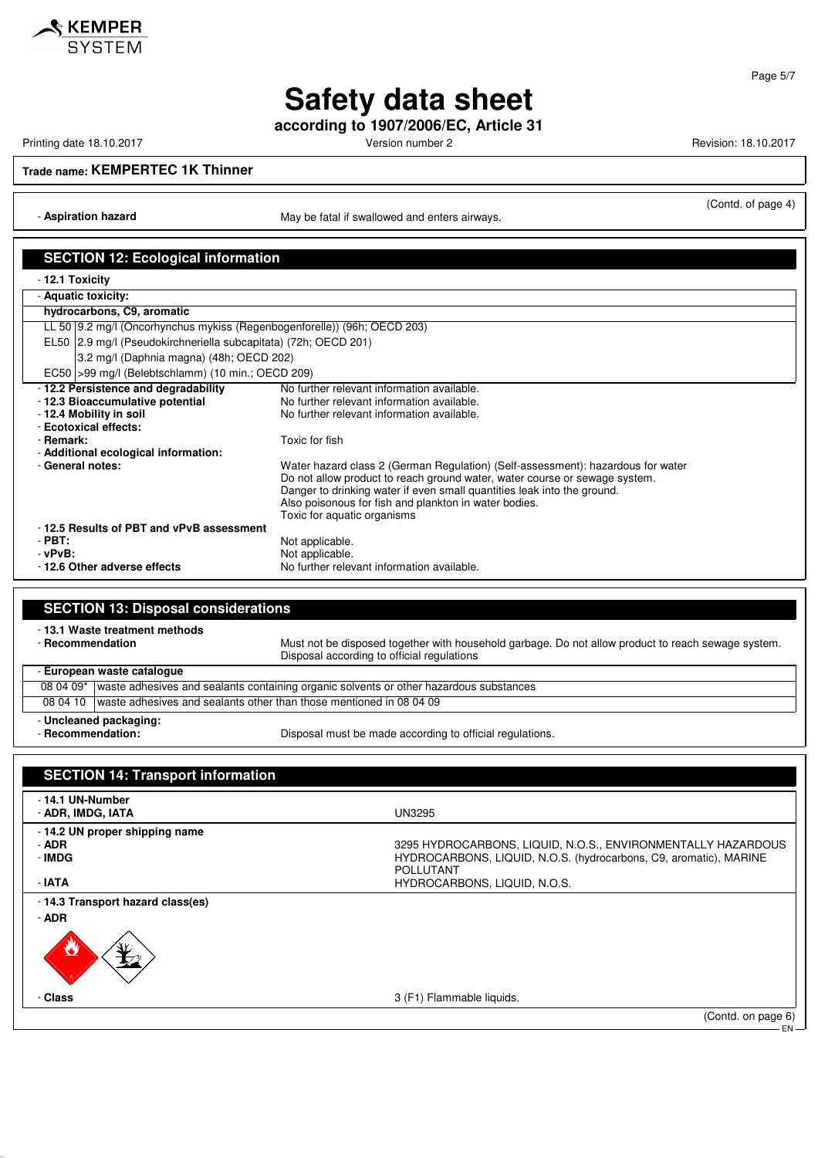

**according to 1907/2006/EC, Article 31**

Printing date 18.10.2017 **Version number 2** Version number 2 Revision: 18.10.2017

**Trade name: KEMPERTEC 1K Thinner**

- **Aspiration hazard** May be fatal if swallowed and enters airways.

(Contd. of page 4)

| <b>SECTION 12: Ecological information</b>                                                           |                                                                                                                                                       |
|-----------------------------------------------------------------------------------------------------|-------------------------------------------------------------------------------------------------------------------------------------------------------|
|                                                                                                     |                                                                                                                                                       |
| - 12.1 Toxicity<br>- Aquatic toxicity:                                                              |                                                                                                                                                       |
| hydrocarbons, C9, aromatic                                                                          |                                                                                                                                                       |
| LL 50 9.2 mg/l (Oncorhynchus mykiss (Regenbogenforelle)) (96h; OECD 203)                            |                                                                                                                                                       |
| EL50 2.9 mg/l (Pseudokirchneriella subcapitata) (72h; OECD 201)                                     |                                                                                                                                                       |
| 3.2 mg/l (Daphnia magna) (48h; OECD 202)                                                            |                                                                                                                                                       |
| EC50   > 99 mg/l (Belebtschlamm) (10 min.; OECD 209)                                                |                                                                                                                                                       |
| - 12.2 Persistence and degradability                                                                | No further relevant information available.                                                                                                            |
| - 12.3 Bioaccumulative potential                                                                    | No further relevant information available.                                                                                                            |
| - 12.4 Mobility in soil                                                                             | No further relevant information available.                                                                                                            |
| - Ecotoxical effects:                                                                               |                                                                                                                                                       |
| - Remark:                                                                                           | Toxic for fish                                                                                                                                        |
| - Additional ecological information:                                                                |                                                                                                                                                       |
| - General notes:                                                                                    | Water hazard class 2 (German Regulation) (Self-assessment): hazardous for water                                                                       |
|                                                                                                     | Do not allow product to reach ground water, water course or sewage system.<br>Danger to drinking water if even small quantities leak into the ground. |
|                                                                                                     | Also poisonous for fish and plankton in water bodies.                                                                                                 |
|                                                                                                     | Toxic for aquatic organisms                                                                                                                           |
| -12.5 Results of PBT and vPvB assessment                                                            |                                                                                                                                                       |
| $-$ PBT:                                                                                            | Not applicable.                                                                                                                                       |
| $-vPvB$ :                                                                                           | Not applicable.                                                                                                                                       |
| - 12.6 Other adverse effects                                                                        | No further relevant information available.                                                                                                            |
|                                                                                                     |                                                                                                                                                       |
| <b>SECTION 13: Disposal considerations</b>                                                          |                                                                                                                                                       |
|                                                                                                     |                                                                                                                                                       |
| - 13.1 Waste treatment methods<br>- Recommendation                                                  |                                                                                                                                                       |
|                                                                                                     | Must not be disposed together with household garbage. Do not allow product to reach sewage system.<br>Disposal according to official regulations      |
| - European waste catalogue                                                                          |                                                                                                                                                       |
| 08 04 09*<br>waste adhesives and sealants containing organic solvents or other hazardous substances |                                                                                                                                                       |
| 08 04 10                                                                                            | I waste adhesives and sealants other than those mentioned in 08 04 09                                                                                 |
| - Uncleaned packaging:                                                                              |                                                                                                                                                       |
| - Recommendation:                                                                                   | Disposal must be made according to official regulations.                                                                                              |

**SECTION 14: Transport information** - **14.1 UN-Number** - **ADR, IMDG, IATA** UN3295 - **14.2 UN proper shipping name** - **ADR** 3295 HYDROCARBONS, LIQUID, N.O.S., ENVIRONMENTALLY HAZARDOUS HYDROCARBONS, LIQUID, N.O.S. (hydrocarbons, C9, aromatic), MARINE POLLUTANT - **IATA** HYDROCARBONS, LIQUID, N.O.S. - **14.3 Transport hazard class(es)** - **ADR** - **Class** 3 (F1) Flammable liquids. (Contd. on page 6)

EN

Page 5/7

<u>SKEMPER</u> **SYSTEM**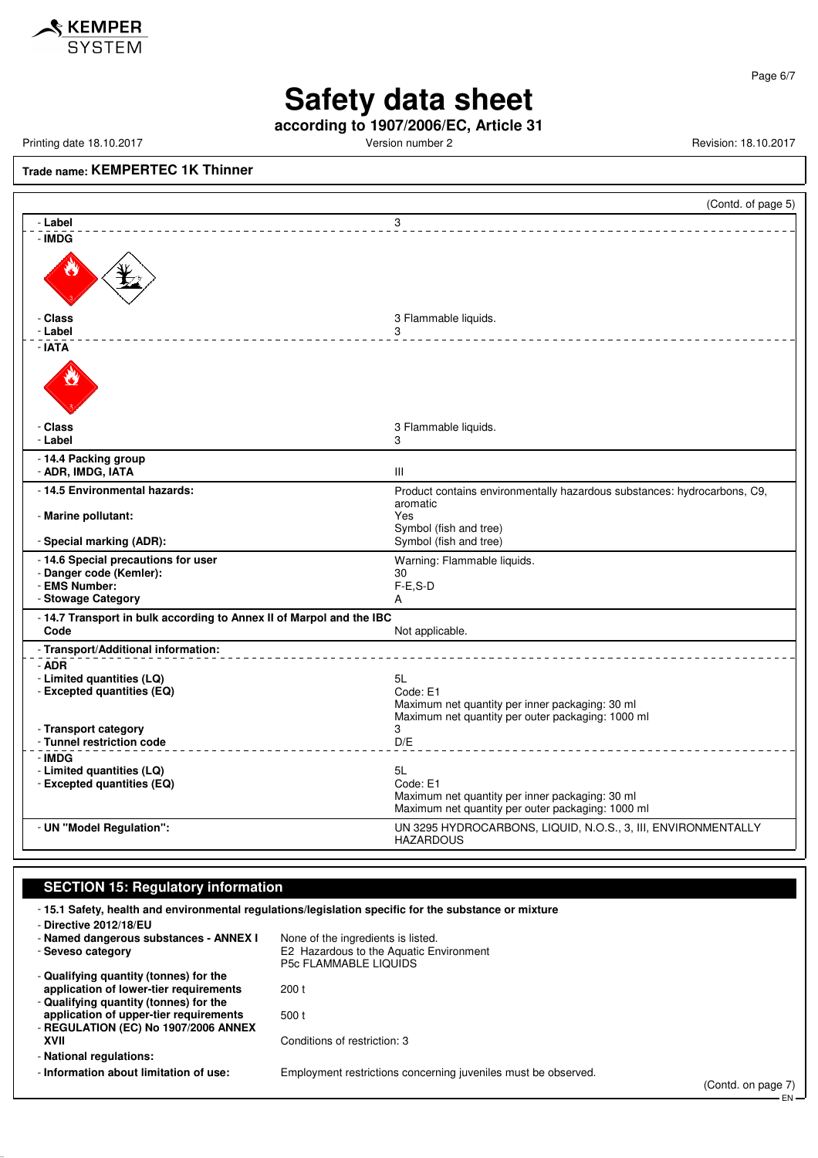

Page 6/7

EN

# **Safety data sheet**

**according to 1907/2006/EC, Article 31**

Printing date 18.10.2017 **Version number 2** Version number 2 Revision: 18.10.2017

### **Trade name: KEMPERTEC 1K Thinner**

|                                                                      | (Contd. of page 5)                                                                                                     |
|----------------------------------------------------------------------|------------------------------------------------------------------------------------------------------------------------|
| - Label                                                              | 3                                                                                                                      |
| - IMDG                                                               |                                                                                                                        |
| - Class<br>- Label                                                   | 3 Flammable liquids.<br>3                                                                                              |
| - IATA                                                               |                                                                                                                        |
| - Class<br>- Label                                                   | 3 Flammable liquids.<br>3                                                                                              |
| - 14.4 Packing group<br>- ADR, IMDG, IATA                            | III                                                                                                                    |
| - 14.5 Environmental hazards:                                        | Product contains environmentally hazardous substances: hydrocarbons, C9,<br>aromatic                                   |
| - Marine pollutant:<br>- Special marking (ADR):                      | Yes<br>Symbol (fish and tree)<br>Symbol (fish and tree)                                                                |
| - 14.6 Special precautions for user                                  | Warning: Flammable liquids.                                                                                            |
| - Danger code (Kemler):                                              | 30                                                                                                                     |
| - EMS Number:                                                        | $F-E.S-D$                                                                                                              |
| - Stowage Category                                                   | A                                                                                                                      |
| - 14.7 Transport in bulk according to Annex II of Marpol and the IBC |                                                                                                                        |
| Code                                                                 | Not applicable.                                                                                                        |
| - Transport/Additional information:                                  |                                                                                                                        |
| - ADR<br>- Limited quantities (LQ)<br>- Excepted quantities (EQ)     | 5L<br>Code: E1<br>Maximum net quantity per inner packaging: 30 ml<br>Maximum net quantity per outer packaging: 1000 ml |
| - Transport category<br>- Tunnel restriction code                    | 3<br>D/E                                                                                                               |
| - IMDG                                                               |                                                                                                                        |
| - Limited quantities (LQ)                                            | 5L                                                                                                                     |
| - Excepted quantities (EQ)                                           | Code: E1                                                                                                               |
|                                                                      | Maximum net quantity per inner packaging: 30 ml<br>Maximum net quantity per outer packaging: 1000 ml                   |
| - UN "Model Regulation":                                             | UN 3295 HYDROCARBONS, LIQUID, N.O.S., 3, III, ENVIRONMENTALLY<br><b>HAZARDOUS</b>                                      |

#### **SECTION 15: Regulatory information**

- **15.1 Safety, health and environmental regulations/legislation specific for the substance or mixture** - **Directive 2012/18/EU** - **Named dangerous substances - ANNEX I** None of the ingredients is listed.<br>- Seveso category **E2 Hazardous to the Aquatic Er** E2 Hazardous to the Aquatic Environment P5c FLAMMABLE LIQUIDS - **Qualifying quantity (tonnes) for the application of lower-tier requirements** 200 t - **Qualifying quantity (tonnes) for the application of upper-tier requirements** 500 t - **REGULATION (EC) No 1907/2006 ANNEX XVII** Conditions of restriction: 3 - **National regulations:** - **Information about limitation of use:** Employment restrictions concerning juveniles must be observed. (Contd. on page 7)